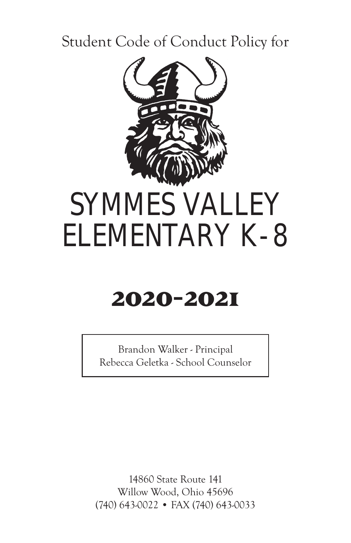### Student Code of Conduct Policy for



## **2020-2021**

Brandon Walker - Principal Rebecca Geletka - School Counselor

14860 State Route 141 Willow Wood, Ohio 45696 (740) 643-0022 • FAX (740) 643-0033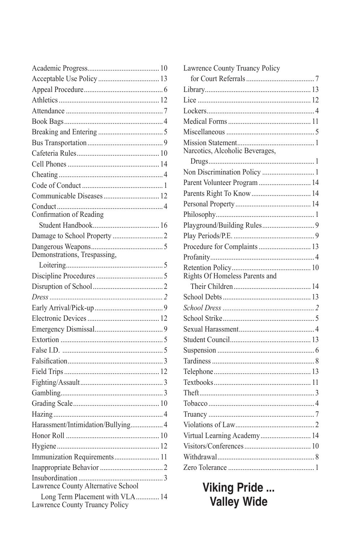| Confirmation of Reading                                            |  |
|--------------------------------------------------------------------|--|
|                                                                    |  |
|                                                                    |  |
|                                                                    |  |
|                                                                    |  |
|                                                                    |  |
|                                                                    |  |
|                                                                    |  |
|                                                                    |  |
|                                                                    |  |
|                                                                    |  |
|                                                                    |  |
|                                                                    |  |
|                                                                    |  |
|                                                                    |  |
|                                                                    |  |
|                                                                    |  |
|                                                                    |  |
|                                                                    |  |
| Harassment/Intimidation/Bullying 4                                 |  |
|                                                                    |  |
|                                                                    |  |
| Immunization Requirements 11                                       |  |
|                                                                    |  |
|                                                                    |  |
| Lawrence County Alternative School                                 |  |
| Long Term Placement with VLA  14<br>Lawrence County Truancy Policy |  |

| Lawrence County Truancy Policy  |
|---------------------------------|
|                                 |
|                                 |
|                                 |
|                                 |
|                                 |
|                                 |
|                                 |
| Narcotics, Alcoholic Beverages, |
|                                 |
| Non Discrimination Policy  1    |
| Parent Volunteer Program  14    |
|                                 |
|                                 |
|                                 |
|                                 |
|                                 |
| Procedure for Complaints  13    |
|                                 |
|                                 |
|                                 |
|                                 |
|                                 |
|                                 |
|                                 |
|                                 |
|                                 |
|                                 |
|                                 |
|                                 |
|                                 |
|                                 |
|                                 |
|                                 |
| Virtual Learning Academy 14     |
|                                 |
|                                 |
|                                 |
|                                 |

**Viking Pride ...**<br>Valley Wide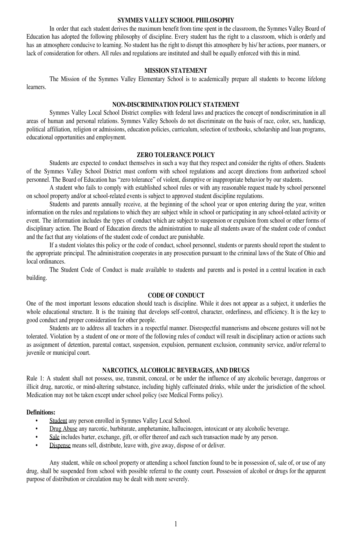#### **SYMMES VALLEY SCHOOL PHILOSOPHY**

In order that each student derives the maximum benefit from time spent in the classroom, the Symmes Valley Board of Education has adopted the following philosophy of discipline. Every student has the right to a classroom, which is orderly and has an atmosphere conducive to learning. No student has the right to disrupt this atmosphere by his/ her actions, poor manners, or lack of consideration for others. All rules and regulations are instituted and shall be equally enforced with this in mind.

#### **MISSION STATEMENT**

The Mission of the Symmes Valley Elementary School is to academically prepare all students to become lifelong **learners** 

#### **NON-DISCRIMINATION POLICY STATEMENT**

Symmes Valley Local School District complies with federal laws and practices the concept of nondiscrimination in all areas of human and personal relations. Symmes Valley Schools do not discriminate on the basis of race, color, sex, handicap, political affiliation, religion or admissions, education policies, curriculum, selection of textbooks, scholarship and loan programs, educational opportunities and employment.

#### **ZERO TOLERANCE POLICY**

Students are expected to conduct themselves in such a way that they respect and consider the rights of others. Students of the Symmes Valley School District must conform with school regulations and accept directions from authorized school personnel. The Board of Education has "zero tolerance" of violent, disruptive or inappropriate behavior by our students.

A student who fails to comply with established school rules or with any reasonable request made by school personnel on school property and/or at school-related events is subject to approved student discipline regulations.

Students and parents annually receive, at the beginning of the school year or upon entering during the year, written information on the rules and regulations to which they are subject while in school or participating in any school-related activity or event. The information includes the types of conduct which are subject to suspension or expulsion from school or other forms of disciplinary action. The Board of Education directs the administration to make all students aware of the student code of conduct and the fact that any violations of the student code of conduct are punishable.

If a student violates this policy or the code of conduct, school personnel, students or parents should report the student to the appropriate principal. The administration cooperates in any prosecution pursuant to the criminal laws of the State of Ohio and local ordinances.

The Student Code of Conduct is made available to students and parents and is posted in a central location in each building.

#### **CODE OF CONDUCT**

One of the most important lessons education should teach is discipline. While it does not appear as a subject, it underlies the whole educational structure. It is the training that develops self-control, character, orderliness, and efficiency. It is the key to good conduct and proper consideration for other people.

Students are to address all teachers in a respectful manner. Disrespectful mannerisms and obscene gestures will not be tolerated. Violation by a student of one or more of the following rules of conduct will result in disciplinary action or actions such as assignment of detention, parental contact, suspension, expulsion, permanent exclusion, community service, and/or referral to juvenile or municipal court.

#### **NARCOTICS, ALCOHOLIC BEVERAGES, AND DRUGS**

Rule 1: A student shall not possess, use, transmit, conceal, or be under the influence of any alcoholic beverage, dangerous or illicit drug, narcotic, or mind-altering substance, including highly caffeinated drinks, while under the jurisdiction of the school. Medication may not be taken except under school policy (see Medical Forms policy).

#### **Definitions:**

- Student any person enrolled in Symmes Valley Local School.
- Drug Abuse any narcotic, barbiturate, amphetamine, hallucinogen, intoxicant or any alcoholic beverage.
- Sale includes barter, exchange, gift, or offer thereof and each such transaction made by any person.
- Dispense means sell, distribute, leave with, give away, dispose of or deliver.

Any student, while on school property or attending a school function found to be in possession of, sale of, or use of any drug, shall be suspended from school with possible referral to the county court. Possession of alcohol or drugs for the apparent purpose of distribution or circulation may be dealt with more severely.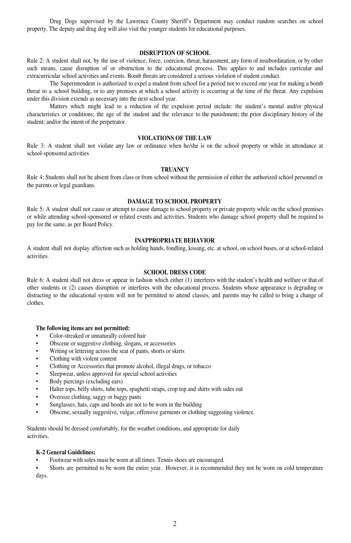Drug Dogs supervised by the Lawrence County Sheriff's Department may conduct random searches on school property. The deputy and drug dog will also visit the younger students for educational purposes.

#### **DISRUPTION OF SCHOOL**

Rule 2: A student shall not, by the use of violence, force, coercion, threat, harassment, any form of insubordination, or by other such means, cause disruption of or obstruction to the educational process. This applies to and includes curricular and extracurricular school activities and events. Bomb threats are considered a serious violation of student conduct.

The Superintendent is authorized to expel a student from school for a period not to exceed one year for making a bomb threat to a school building, or to any premises at which a school activity is occurring at the time of the threat. Any expulsion under this division extends as necessary into the next school year.

Matters which might lead to a reduction of the expulsion period include: the student's mental and/or physical characteristics or conditions; the age of the student and the relevance to the punishment; the prior disciplinary history of the student; and/or the intent of the perpetrator.

#### **VIOLATIONS OF THE LAW**

Rule 3: A student shall not violate any law or ordinance when he/she is on the school property or while in attendance at school-sponsored activities

#### **TRUANCY**

Rule 4: Students shall not be absent from class or from school without the permission of either the authorized school personnel or the parents or legal guardians.

#### **DAMAGE TO SCHOOL PROPERTY**

Rule 5: A student shall not cause or attempt to cause damage to school property or private property while on the school premises or while attending school-sponsored or related events and activities. Students who damage school property shall be required to pay for the same, as per Board Policy.

#### **INAPPROPRIATE BEHAVIOR**

A student shall not display affection such as holding hands, fondling, kissing, etc. at school, on school buses, or at school-related activities.

#### **SCHOOL DRESS CODE**

Rule 6: A student shall not dress or appear in fashion which either (1) interferes with the student's health and welfare or that of other students or (2) causes disruption or interferes with the educational process. Students whose appearance is degrading or distracting to the educational system will not be permitted to attend classes, and parents may be called to bring a change of clothes.

#### **The following items are not permitted:**

- Color-streaked or unnaturally colored hair
- Obscene or suggestive clothing, slogans, or accessories
- Writing or lettering across the seat of pants, shorts or skirts
- Clothing with violent content
- Clothing or Accessories that promote alcohol, illegal drugs, or tobacco
- Sleepwear, unless approved for special school activities
- Body piercings (excluding ears)
- Halter tops, belly shirts, tube tops, spaghetti straps, crop top and shirts with sides out
- Oversize clothing, saggy or baggy pants
- Sunglasses, hats, caps and hoods are not to be worn in the building
- Obscene, sexually suggestive, vulgar, offensive garments or clothing suggesting violence.

Students should be dressed comfortably, for the weather conditions, and appropriate for daily activities.

#### **K-2 General Guidelines:**

• Footwear with soles must be worn at all times. Tennis shoes are encouraged.

• Shorts are permitted to be worn the entire year. However, it is recommended they not be worn on cold temperature days.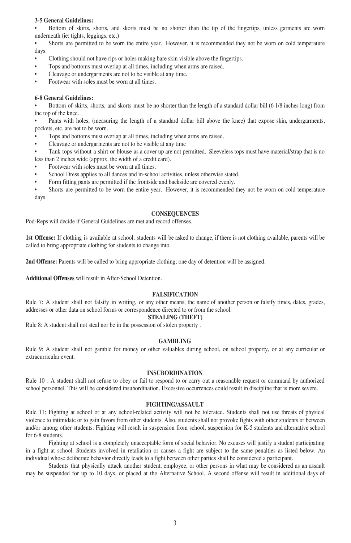#### **3-5 General Guidelines:**

• Bottom of skirts, shorts, and skorts must be no shorter than the tip of the fingertips, unless garments are worn underneath (ie: tights, leggings, etc.)

• Shorts are permitted to be worn the entire year. However, it is recommended they not be worn on cold temperature days.

- Clothing should not have rips or holes making bare skin visible above the fingertips.
- Tops and bottoms must overlap at all times, including when arms are raised.
- Cleavage or undergarments are not to be visible at any time.
- Footwear with soles must be worn at all times.

#### **6-8 General Guidelines:**

• Bottom of skirts, shorts, and skorts must be no shorter than the length of a standard dollar bill (6 1/8 inches long) from the top of the knee.

• Pants with holes, (measuring the length of a standard dollar bill above the knee) that expose skin, undergarments, pockets, etc. are not to be worn.

- Tops and bottoms must overlap at all times, including when arms are raised.
- Cleavage or undergarments are not to be visible at any time
- Tank tops without a shirt or blouse as a cover up are not permitted. Sleeveless tops must have material/strap that is no less than 2 inches wide (approx. the width of a credit card).
- Footwear with soles must be worn at all times.
- School Dress applies to all dances and in-school activities, unless otherwise stated.
- Form fitting pants are permitted if the frontside and backside are covered evenly.

• Shorts are permitted to be worn the entire year. However, it is recommended they not be worn on cold temperature days.

#### **CONSEQUENCES**

Pod-Reps will decide if General Guidelines are met and record offenses.

**1st Offense:** If clothing is available at school, students will be asked to change, if there is not clothing available, parents will be called to bring appropriate clothing for students to change into.

**2nd Offense:** Parents will be called to bring appropriate clothing; one day of detention will be assigned.

**Additional Offenses** will result in After-School Detention.

#### **FALSIFICATION**

Rule 7: A student shall not falsify in writing, or any other means, the name of another person or falsify times, dates, grades, addresses or other data on school forms or correspondence directed to or from the school.

#### **STEALING (THEFT)**

Rule 8: A student shall not steal nor be in the possession of stolen property .

#### **GAMBLING**

Rule 9: A student shall not gamble for money or other valuables during school, on school property, or at any curricular or extracurricular event.

#### **INSUBORDINATION**

Rule 10 : A student shall not refuse to obey or fail to respond to or carry out a reasonable request or command by authorized school personnel. This will be considered insubordination. Excessive occurrences could result in discipline that is more severe.

#### **FIGHTING/ASSAULT**

Rule 11: Fighting at school or at any school-related activity will not be tolerated. Students shall not use threats of physical violence to intimidate or to gain favors from other students. Also, students shall not provoke fights with other students or between and/or among other students. Fighting will result in suspension from school, suspension for K-5 students and alternative school for 6-8 students.

Fighting at school is a completely unacceptable form of social behavior. No excuses will justify a student participating in a fight at school. Students involved in retaliation or causes a fight are subject to the same penalties as listed below. An individual whose deliberate behavior directly leads to a fight between other parties shall be considered a participant.

Students that physically attack another student, employee, or other persons in what may be considered as an assault may be suspended for up to 10 days, or placed at the Alternative School. A second offense will result in additional days of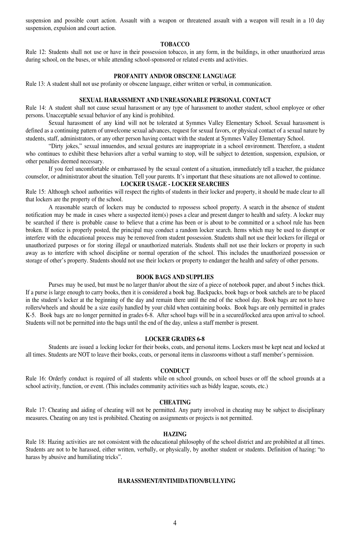suspension and possible court action. Assault with a weapon or threatened assault with a weapon will result in a 10 day suspension, expulsion and court action.

#### **TOBACCO**

Rule 12: Students shall not use or have in their possession tobacco, in any form, in the buildings, in other unauthorized areas during school, on the buses, or while attending school-sponsored or related events and activities.

#### **PROFANITY AND/OR OBSCENE LANGUAGE**

Rule 13: A student shall not use profanity or obscene language, either written or verbal, in communication.

#### **SEXUAL HARASSMENT AND UNREASONABLE PERSONAL CONTACT**

Rule 14: A student shall not cause sexual harassment or any type of harassment to another student, school employee or other persons. Unacceptable sexual behavior of any kind is prohibited.

Sexual harassment of any kind will not be tolerated at Symmes Valley Elementary School. Sexual harassment is defined as a continuing pattern of unwelcome sexual advances, request for sexual favors, or physical contact of a sexual nature by students, staff, administrators, or any other person having contact with the student at Symmes Valley Elementary School.

"Dirty jokes," sexual innuendos, and sexual gestures are inappropriate in a school environment. Therefore, a student who continues to exhibit these behaviors after a verbal warning to stop, will be subject to detention, suspension, expulsion, or other penalties deemed necessary.

If you feel uncomfortable or embarrassed by the sexual content of a situation, immediately tell a teacher, the guidance counselor, or administrator about the situation. Tell your parents. It's important that these situations are not allowed to continue.

#### **LOCKER USAGE - LOCKER SEARCHES**

Rule 15: Although school authorities will respect the rights of students in their locker and property, it should be made clear to all that lockers are the property of the school.

A reasonable search of lockers may be conducted to repossess school property. A search in the absence of student notification may be made in cases where a suspected item(s) poses a clear and present danger to health and safety. A locker may be searched if there is probable cause to believe that a crime has been or is about to be committed or a school rule has been broken. If notice is properly posted, the principal may conduct a random locker search. Items which may be used to disrupt or interfere with the educational process may be removed from student possession. Students shall not use their lockers for illegal or unauthorized purposes or for storing illegal or unauthorized materials. Students shall not use their lockers or property in such away as to interfere with school discipline or normal operation of the school. This includes the unauthorized possession or storage of other's property. Students should not use their lockers or property to endanger the health and safety of other persons.

#### **BOOK BAGS AND SUPPLIES**

Purses may be used, but must be no larger than/or about the size of a piece of notebook paper, and about 5 inches thick. If a purse is large enough to carry books, then it is considered a book bag. Backpacks, book bags or book satchels are to be placed in the student's locker at the beginning of the day and remain there until the end of the school day. Book bags are not to have rollers/wheels and should be a size easily handled by your child when containing books. Book bags are only permitted in grades K-5. Book bags are no longer permitted in grades 6-8. After school bags will be in a secured/locked area upon arrival to school. Students will not be permitted into the bags until the end of the day, unless a staff member is present.

#### **LOCKER GRADES 6-8**

Students are issued a locking locker for their books, coats, and personal items. Lockers must be kept neat and locked at all times. Students are NOT to leave their books, coats, or personal items in classrooms without a staff member's permission.

#### **CONDUCT**

Rule 16: Orderly conduct is required of all students while on school grounds, on school buses or off the school grounds at a school activity, function, or event. (This includes community activities such as biddy league, scouts, etc.)

#### **CHEATING**

Rule 17: Cheating and aiding of cheating will not be permitted. Any party involved in cheating may be subject to disciplinary measures. Cheating on any test is prohibited. Cheating on assignments or projects is not permitted.

#### **HAZING**

Rule 18: Hazing activities are not consistent with the educational philosophy of the school district and are prohibited at all times. Students are not to be harassed, either written, verbally, or physically, by another student or students. Definition of hazing: "to harass by abusive and humiliating tricks".

#### **HARASSMENT/INTIMIDATION/BULLYING**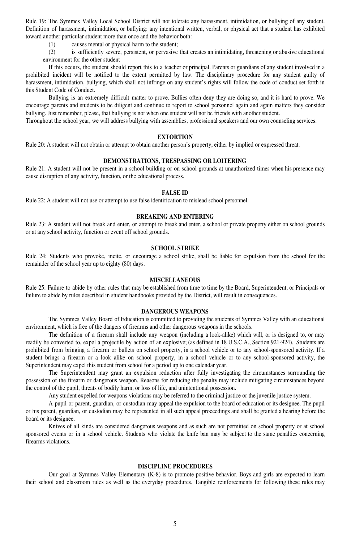Rule 19: The Symmes Valley Local School District will not tolerate any harassment, intimidation, or bullying of any student. Definition of harassment, intimidation, or bullying: any intentional written, verbal, or physical act that a student has exhibited toward another particular student more than once and the behavior both:

(1) causes mental or physical harm to the student;

(2) is sufficiently severe, persistent, or pervasive that creates an intimidating, threatening or abusive educational environment for the other student

If this occurs, the student should report this to a teacher or principal. Parents or guardians of any student involved in a prohibited incident will be notified to the extent permitted by law. The disciplinary procedure for any student guilty of harassment, intimidation, bullying, which shall not infringe on any student's rights will follow the code of conduct set forth in this Student Code of Conduct.

Bullying is an extremely difficult matter to prove. Bullies often deny they are doing so, and it is hard to prove. We encourage parents and students to be diligent and continue to report to school personnel again and again matters they consider bullying. Just remember, please, that bullying is not when one student will not be friends with another student.

Throughout the school year, we will address bullying with assemblies, professional speakers and our own counseling services.

#### **EXTORTION**

Rule 20: A student will not obtain or attempt to obtain another person's property, either by implied or expressed threat.

#### **DEMONSTRATIONS, TRESPASSING OR LOITERING**

Rule 21: A student will not be present in a school building or on school grounds at unauthorized times when his presence may cause disruption of any activity, function, or the educational process.

#### **FALSE ID**

Rule 22: A student will not use or attempt to use false identification to mislead school personnel.

#### **BREAKING AND ENTERING**

Rule 23: A student will not break and enter, or attempt to break and enter, a school or private property either on school grounds or at any school activity, function or event off school grounds.

#### **SCHOOL STRIKE**

Rule 24: Students who provoke, incite, or encourage a school strike, shall be liable for expulsion from the school for the remainder of the school year up to eighty (80) days.

#### **MISCELLANEOUS**

Rule 25: Failure to abide by other rules that may be established from time to time by the Board, Superintendent, or Principals or failure to abide by rules described in student handbooks provided by the District, will result in consequences.

#### **DANGEROUS WEAPONS**

The Symmes Valley Board of Education is committed to providing the students of Symmes Valley with an educational environment, which is free of the dangers of firearms and other dangerous weapons in the schools.

The definition of a firearm shall include any weapon (including a look-alike) which will, or is designed to, or may readily be converted to, expel a projectile by action of an explosive; (as defined in 18 U.S.C.A., Section 921-924). Students are prohibited from bringing a firearm or bullets on school property, in a school vehicle or to any school-sponsored activity. If a student brings a firearm or a look alike on school property, in a school vehicle or to any school-sponsored activity, the Superintendent may expel this student from school for a period up to one calendar year.

The Superintendent may grant an expulsion reduction after fully investigating the circumstances surrounding the possession of the firearm or dangerous weapon. Reasons for reducing the penalty may include mitigating circumstances beyond the control of the pupil, threats of bodily harm, or loss of life, and unintentional possession.

Any student expelled for weapons violations may be referred to the criminal justice or the juvenile justice system.

A pupil or parent, guardian, or custodian may appeal the expulsion to the board of education or its designee. The pupil or his parent, guardian, or custodian may be represented in all such appeal proceedings and shall be granted a hearing before the board or its designee.

Knives of all kinds are considered dangerous weapons and as such are not permitted on school property or at school sponsored events or in a school vehicle. Students who violate the knife ban may be subject to the same penalties concerning firearms violations.

#### **DISCIPLINE PROCEDURES**

Our goal at Symmes Valley Elementary (K-8) is to promote positive behavior. Boys and girls are expected to learn their school and classroom rules as well as the everyday procedures. Tangible reinforcements for following these rules may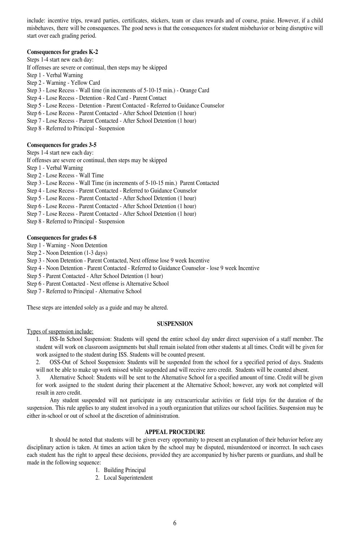include: incentive trips, reward parties, certificates, stickers, team or class rewards and of course, praise. However, if a child misbehaves, there will be consequences. The good news is that the consequences for student misbehavior or being disruptive will start over each grading period.

#### **Consequences for grades K-2**

Steps 1-4 start new each day: If offenses are severe or continual, then steps may be skipped Step 1 - Verbal Warning Step 2 - Warning - Yellow Card Step 3 - Lose Recess - Wall time (in increments of 5-10-15 min.) - Orange Card Step 4 - Lose Recess - Detention - Red Card - Parent Contact Step 5 - Lose Recess - Detention - Parent Contacted - Referred to Guidance Counselor Step 6 - Lose Recess - Parent Contacted - After School Detention (1 hour) Step 7 - Lose Recess - Parent Contacted - After School Detention (1 hour) Step 8 - Referred to Principal - Suspension

#### **Consequences for grades 3-5**

Steps 1-4 start new each day: If offenses are severe or continual, then steps may be skipped Step 1 - Verbal Warning Step 2 - Lose Recess - Wall Time Step 3 - Lose Recess - Wall Time (in increments of 5-10-15 min.) Parent Contacted Step 4 - Lose Recess - Parent Contacted - Referred to Guidance Counselor Step 5 - Lose Recess - Parent Contacted - After School Detention (1 hour) Step 6 - Lose Recess - Parent Contacted - After School Detention (1 hour) Step 7 - Lose Recess - Parent Contacted - After School Detention (1 hour) Step 8 - Referred to Principal - Suspension

#### **Consequences for grades 6-8**

Step 1 - Warning - Noon Detention

- Step 2 Noon Detention (1-3 days)
- Step 3 Noon Detention Parent Contacted, Next offense lose 9 week Incentive
- Step 4 Noon Detention Parent Contacted Referred to Guidance Counselor lose 9 week Incentive
- Step 5 Parent Contacted After School Detention (1 hour)
- Step 6 Parent Contacted Next offense is Alternative School
- Step 7 Referred to Principal Alternative School

These steps are intended solely as a guide and may be altered.

#### **SUSPENSION**

Types of suspension include:

1. ISS-In School Suspension: Students will spend the entire school day under direct supervision of a staff member. The student will work on classroom assignments but shall remain isolated from other students at all times. Credit will be given for work assigned to the student during ISS. Students will be counted present.

2. OSS-Out of School Suspension: Students will be suspended from the school for a specified period of days. Students will not be able to make up work missed while suspended and will receive zero credit. Students will be counted absent.

3. Alternative School: Students will be sent to the Alternative School for a specified amount of time. Credit will be given for work assigned to the student during their placement at the Alternative School; however, any work not completed will result in zero credit.

Any student suspended will not participate in any extracurricular activities or field trips for the duration of the suspension. This rule applies to any student involved in a youth organization that utilizes our school facilities. Suspension may be either in-school or out of school at the discretion of administration.

#### **APPEAL PROCEDURE**

It should be noted that students will be given every opportunity to present an explanation of their behavior before any disciplinary action is taken. At times an action taken by the school may be disputed, misunderstood or incorrect. In such cases each student has the right to appeal these decisions, provided they are accompanied by his/her parents or guardians, and shall be made in the following sequence:

- 1. Building Principal
- 2. Local Superintendent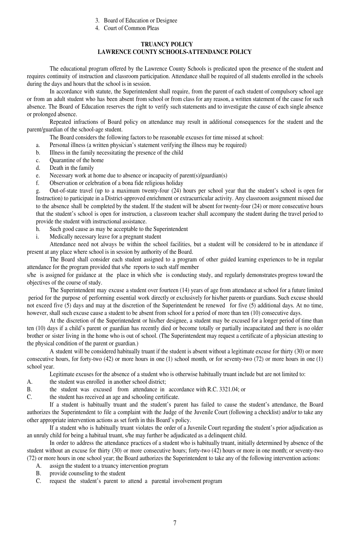- 3. Board of Education or Designee
- 4. Court of Common Pleas

#### **TRUANCY POLICY LAWRENCE COUNTY SCHOOLS-ATTENDANCE POLICY**

The educational program offered by the Lawrence County Schools is predicated upon the presence of the student and requires continuity of instruction and classroom participation. Attendance shall be required of all students enrolled in the schools during the days and hours that the school is in session.

In accordance with statute, the Superintendent shall require, from the parent of each student of compulsory school age or from an adult student who has been absent from school or from class for any reason, a written statement of the cause for such absence. The Board of Education reserves the right to verify such statements and to investigate the cause of each single absence or prolonged absence.

Repeated infractions of Board policy on attendance may result in additional consequences for the student and the parent/guardian of the school-age student.

The Board considers the following factors to be reasonable excuses for time missed at school:

- a. Personal illness (a written physician's statement verifying the illness may be required)
- b. Illness in the family necessitating the presence of the child
- c. Quarantine of the home
- d. Death in the family
- e. Necessary work at home due to absence or incapacity of parent(s)/guardian(s)
- f. Observation or celebration of a bona fide religious holiday

g. Out-of-state travel (up to a maximum twenty-four (24) hours per school year that the student's school is open for Instruction) to participate in a District-approved enrichment or extracurricular activity. Any classroom assignment missed due to the absence shall be completed by the student. If the student will be absent for twenty-four (24) or more consecutive hours that the student's school is open for instruction, a classroom teacher shall accompany the student during the travel period to provide the student with instructional assistance.

- h. Such good cause as may be acceptable to the Superintendent
- i. Medically necessary leave for a pregnant student

Attendance need not always be within the school facilities, but a student will be considered to be in attendance if present at any place where school is in session by authority of the Board.

The Board shall consider each student assigned to a program of other guided learning experiences to be in regular attendance for the program provided that s/he reports to such staff member

s/he is assigned for guidance at the place in which s/he is conducting study, and regularly demonstrates progress toward the objectives of the course of study.

The Superintendent may excuse a student over fourteen (14) years of age from attendance at school for a future limited period for the purpose of performing essential work directly or exclusively for his/her parents or guardians. Such excuse should not exceed five (5) days and may at the discretion of the Superintendent be renewed for five (5) additional days. At no time, however, shall such excuse cause a student to be absent from school for a period of more than ten (10) consecutive days.

At the discretion of the Superintendent or his/her designee, a student may be excused for a longer period of time than ten (10) days if a child's parent or guardian has recently died or become totally or partially incapacitated and there is no older brother or sister living in the home who is out of school. (The Superintendent may request a certificate of a physician attesting to the physical condition of the parent or guardian.)

A student will be considered habitually truant if the student is absent without a legitimate excuse for thirty (30) or more consecutive hours, for forty-two (42) or more hours in one (1) school month, or for seventy-two (72) or more hours in one (1) school year.

Legitimate excuses for the absence of a student who is otherwise habitually truant include but are not limited to:

- A. the student was enrolled in another school district;
- B. the student was excused from attendance in accordance with R.C. 3321.04; or
- C. the student has received an age and schooling certificate.

If a student is habitually truant and the student's parent has failed to cause the student's attendance, the Board authorizes the Superintendent to file a complaint with the Judge of the Juvenile Court (following a checklist) and/or to take any other appropriate intervention actions as set forth in this Board's policy.

If a student who is habitually truant violates the order of a Juvenile Court regarding the student's prior adjudication as an unruly child for being a habitual truant, s/he may further be adjudicated as a delinquent child.

In order to address the attendance practices of a student who is habitually truant, initially determined by absence of the student without an excuse for thirty (30) or more consecutive hours; forty-two (42) hours or more in one month; or seventy-two (72) or more hours in one school year; the Board authorizes the Superintendent to take any of the following intervention actions:

- A. assign the student to a truancy intervention program
- B. provide counseling to the student
- C. request the student's parent to attend a parental involvement program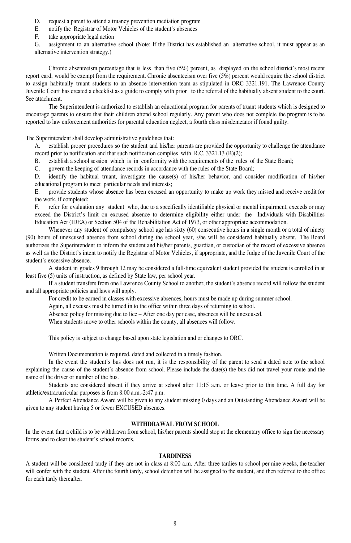- D. request a parent to attend a truancy prevention mediation program
- E. notify the Registrar of Motor Vehicles of the student's absences
- F. take appropriate legal action

G. assignment to an alternative school (Note: If the District has established an alternative school, it must appear as an alternative intervention strategy.)

Chronic absenteeism percentage that is less than five (5%) percent, as displayed on the school district's most recent report card, would be exempt from the requirement. Chronic absenteeism over five (5%) percent would require the school district to assign habitually truant students to an absence intervention team as stipulated in ORC 3321.191. The Lawrence County Juvenile Court has created a checklist as a guide to comply with prior to the referral of the habitually absent student to the court. See attachment.

The Superintendent is authorized to establish an educational program for parents of truant students which is designed to encourage parents to ensure that their children attend school regularly. Any parent who does not complete the program is to be reported to law enforcement authorities for parental education neglect, a fourth class misdemeanor if found guilty.

The Superintendent shall develop administrative guidelines that:

A. establish proper procedures so the student and his/her parents are provided the opportunity to challenge the attendance record prior to notification and that such notification complies with R.C. 3321.13 (B)(2);

B. establish a school session which is in conformity with the requirements of the rules of the State Board;

C. govern the keeping of attendance records in accordance with the rules of the State Board;

D. identify the habitual truant, investigate the cause(s) of his/her behavior, and consider modification of his/her educational program to meet particular needs and interests;

E. provide students whose absence has been excused an opportunity to make up work they missed and receive credit for the work, if completed;

F. refer for evaluation any student who, due to a specifically identifiable physical or mental impairment, exceeds or may exceed the District's limit on excused absence to determine eligibility either under the Individuals with Disabilities Education Act (IDEA) or Section 504 of the Rehabilitation Act of 1973, or other appropriate accommodation.

Whenever any student of compulsory school age has sixty (60) consecutive hours in a single month or a total of ninety (90) hours of unexcused absence from school during the school year, s/he will be considered habitually absent. The Board authorizes the Superintendent to inform the student and his/her parents, guardian, or custodian of the record of excessive absence as well as the District's intent to notify the Registrar of Motor Vehicles, if appropriate, and the Judge of the Juvenile Court of the student's excessive absence.

A student in grades 9 through 12 may be considered a full-time equivalent student provided the student is enrolled in at least five (5) units of instruction, as defined by State law, per school year.

If a student transfers from one Lawrence County School to another, the student's absence record will follow the student and all appropriate policies and laws will apply.

For credit to be earned in classes with excessive absences, hours must be made up during summer school.

Again, all excuses must be turned in to the office within three days of returning to school.

Absence policy for missing due to lice – After one day per case, absences will be unexcused.

When students move to other schools within the county, all absences will follow.

This policy is subject to change based upon state legislation and or changes to ORC.

Written Documentation is required, dated and collected in a timely fashion.

In the event the student's bus does not run, it is the responsibility of the parent to send a dated note to the school explaining the cause of the student's absence from school. Please include the date(s) the bus did not travel your route and the name of the driver or number of the bus.

Students are considered absent if they arrive at school after 11:15 a.m. or leave prior to this time. A full day for athletic/extracurricular purposes is from 8:00 a.m.-2:47 p.m.

A Perfect Attendance Award will be given to any student missing 0 days and an Outstanding Attendance Award will be given to any student having 5 or fewer EXCUSED absences.

#### **WITHDRAWAL FROM SCHOOL**

In the event that a child is to be withdrawn from school, his/her parents should stop at the elementary office to sign the necessary forms and to clear the student's school records.

#### **TARDINESS**

A student will be considered tardy if they are not in class at 8:00 a.m. After three tardies to school per nine weeks, the teacher will confer with the student. After the fourth tardy, school detention will be assigned to the student, and then referred to the office for each tardy thereafter.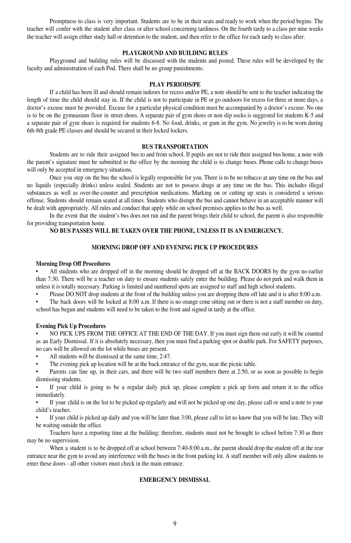Promptness to class is very important. Students are to be in their seats and ready to work when the period begins. The teacher will confer with the student after class or after school concerning tardiness. On the fourth tardy to a class per nine weeks the teacher will assign either study hall or detention to the student, and then refer to the office for each tardy to class after.

#### **PLAYGROUND AND BUILDING RULES**

Playground and building rules will be discussed with the students and posted. These rules will be developed by the faculty and administration of each Pod. There shall be no group punishments.

#### **PLAY PERIODS/PE**

If a child has been ill and should remain indoors for recess and/or PE, a note should be sent to the teacher indicating the length of time the child should stay in. If the child is not to participate in PE or go outdoors for recess for three or more days, a doctor's excuse must be provided. Excuse for a particular physical condition must be accompanied by a doctor's excuse. No one is to be on the gymnasium floor in street shoes. A separate pair of gym shoes or non slip socks is suggested for students K-5 and a separate pair of gym shoes is required for students 6-8. No food, drinks, or gum in the gym. No jewelry is to be worn during 6th-8th grade PE classes and should be secured in their locked lockers.

#### **BUS TRANSPORTATION**

Students are to ride their assigned bus to and from school. If pupils are not to ride their assigned bus home, a note with the parent's signature must be submitted to the office by the morning the child is to change buses. Phone calls to change buses will only be accepted in emergency situations.

Once you step on the bus the school is legally responsible for you. There is to be no tobacco at any time on the bus and no liquids (especially drinks) unless sealed. Students are not to possess drugs at any time on the bus. This includes illegal substances as well as over-the-counter and prescription medications. Marking on or cutting up seats is considered a serious offense. Students should remain seated at all times. Students who disrupt the bus and cannot behave in an acceptable manner will be dealt with appropriately. All rules and conduct that apply while on school premises applies to the bus as well.

In the event that the student's bus does not run and the parent brings their child to school, the parent is also responsible for providing transportation home.

#### **NO BUS PASSES WILL BE TAKEN OVER THE PHONE, UNLESS IT IS AN EMERGENCY.**

#### **MORNING DROP OFF AND EVENING PICK UP PROCEDURES**

#### **Morning Drop Off Procedures**

• All students who are dropped off in the morning should be dropped off at the BACK DOORS by the gym no earlier than 7:30. There will be a teacher on duty to ensure students safely enter the building. Please do not park and walk them in unless it is totally necessary. Parking is limited and numbered spots are assigned to staff and high school students.

• Please DO NOT drop students at the front of the building unless you are dropping them off late and it is after 8:00 a.m.

The back doors will be locked at 8:00 a.m. If there is no orange cone sitting out or there is not a staff member on duty, school has begun and students will need to be taken to the front and signed in tardy at the office.

#### **Evening Pick Up Procedures**

• NO PICK UPS FROM THE OFFICE AT THE END OF THE DAY. If you must sign them out early it will be counted as an Early Dismissal. If it is absolutely necessary, then you must find a parking spot or double park. For SAFETY purposes, no cars will be allowed on the lot while buses are present.

All students will be dismissed at the same time, 2:47.

The evening pick up location will be at the back entrance of the gym, near the picnic table.

• Parents can line up, in their cars, and there will be two staff members there at 2:50, or as soon as possible to begin dismissing students.

If your child is going to be a regular daily pick up, please complete a pick up form and return it to the office immediately.

• If your child is on the list to be picked up regularly and will not be picked up one day, please call or send a note to your child's teacher.

• If your child is picked up daily and you will be later than 3:00, please call to let us know that you will be late. They will be waiting outside the office.

Teachers have a reporting time at the building: therefore, students must not be brought to school before 7:30 as there may be no supervision.

When a student is to be dropped off at school between 7:40-8:00 a.m., the parent should drop the student off at the rear entrance near the gym to avoid any interference with the buses in the front parking lot. A staff member will only allow students to enter these doors - all other visitors must check in the main entrance.

#### **EMERGENCY DISMISSAL**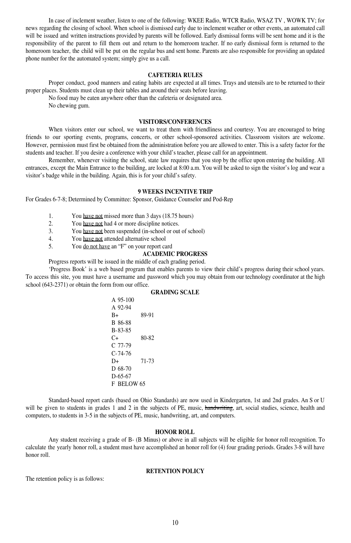In case of inclement weather, listen to one of the following: WKEE Radio, WTCR Radio, WSAZ TV , WOWK TV; for news regarding the closing of school. When school is dismissed early due to inclement weather or other events, an automated call will be issued and written instructions provided by parents will be followed. Early dismissal forms will be sent home and it is the responsibility of the parent to fill them out and return to the homeroom teacher. If no early dismissal form is returned to the homeroom teacher, the child will be put on the regular bus and sent home. Parents are also responsible for providing an updated phone number for the automated system; simply give us a call.

#### **CAFETERIA RULES**

Proper conduct, good manners and eating habits are expected at all times. Trays and utensils are to be returned to their proper places. Students must clean up their tables and around their seats before leaving.

No food may be eaten anywhere other than the cafeteria or designated area.

No chewing gum.

#### **VISITORS/CONFERENCES**

When visitors enter our school, we want to treat them with friendliness and courtesy. You are encouraged to bring friends to our sporting events, programs, concerts, or other school-sponsored activities. Classroom visitors are welcome. However, permission must first be obtained from the administration before you are allowed to enter. This is a safety factor for the students and teacher. If you desire a conference with your child's teacher, please call for an appointment.

Remember, whenever visiting the school, state law requires that you stop by the office upon entering the building. All entrances, except the Main Entrance to the building, are locked at 8:00 a.m. You will be asked to sign the visitor's log and wear a visitor's badge while in the building. Again, this is for your child's safety.

#### **9 WEEKS INCENTIVE TRIP**

For Grades 6-7-8; Determined by Committee: Sponsor, Guidance Counselor and Pod-Rep

1. You have not missed more than 3 days (18.75 hours)

- 2. You have not had 4 or more discipline notices.
- 3. You have not been suspended (in-school or out of school)
- 4. You have not attended alternative school
- 5. You do not have an "F" on your report card

#### **ACADEMIC PROGRESS**

Progress reports will be issued in the middle of each grading period.

'Progress Book' is a web based program that enables parents to view their child's progress during their school years. To access this site, you must have a username and password which you may obtain from our technology coordinator at the high school (643-2371) or obtain the form from our office.

#### **GRADING SCALE**

A 95-100 A 92-94 B+ 89-91 B 86-88 B-83-85 C+ 80-82 C 77-79 C-74-76 D+ 71-73 D 68-70 D-65-67 F BELOW 65

Standard-based report cards (based on Ohio Standards) are now used in Kindergarten, 1st and 2nd grades. An S or U will be given to students in grades 1 and 2 in the subjects of PE, music, handwriting, art, social studies, science, health and computers, to students in 3-5 in the subjects of PE, music, handwriting, art, and computers.

#### **HONOR ROLL**

Any student receiving a grade of B- (B Minus) or above in all subjects will be eligible for honor roll recognition. To calculate the yearly honor roll, a student must have accomplished an honor roll for (4) four grading periods. Grades 3-8 will have honor roll.

#### **RETENTION POLICY**

The retention policy is as follows: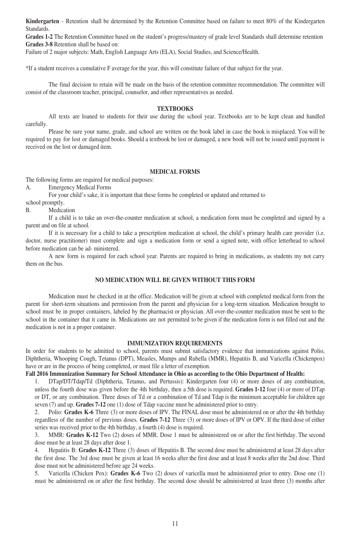**Kindergarten** - Retention shall be determined by the Retention Committee based on failure to meet 80% of the Kindergarten Standards.

**Grades 1-2** The Retention Committee based on the student's progress/mastery of grade level Standards shall determine retention **Grades 3-8** Retention shall be based on:

Failure of 2 major subjects: Math, English Language Arts (ELA), Social Studies, and Science/Health.

\*If a student receives a cumulative F average for the year, this will constitute failure of that subject for the year.

The final decision to retain will be made on the basis of the retention committee recommendation. The committee will consist of the classroom teacher, principal, counselor, and other representatives as needed.

#### **TEXTBOOKS**

All texts are loaned to students for their use during the school year. Textbooks are to be kept clean and handled carefully.

Please be sure your name, grade, and school are written on the book label in case the book is misplaced. You will be required to pay for lost or damaged books. Should a textbook be lost or damaged, a new book will not be issued until payment is received on the lost or damaged item.

#### **MEDICAL FORMS**

The following forms are required for medical purposes:

A. Emergency Medical Forms

For your child's sake, it is important that these forms be completed or updated and returned to

school promptly.

B. Medication

If a child is to take an over-the-counter medication at school, a medication form must be completed and signed by a parent and on file at school.

If it is necessary for a child to take a prescription medication at school, the child's primary health care provider (i.e. doctor, nurse practitioner) must complete and sign a medication form or send a signed note, with office letterhead to school before medication can be ad- ministered.

A new form is required for each school year. Parents are required to bring in medications, as students my not carry them on the bus.

#### **NO MEDICATION WILL BE GIVEN WITHOUT THIS FORM**

Medication must be checked in at the office. Medication will be given at school with completed medical form from the parent for short-term situations and permission from the parent and physician for a long-term situation. Medication brought to school must be in proper containers, labeled by the pharmacist or physician. All over-the-counter medication must be sent to the school in the container that it came in. Medications are not permitted to be given if the medication form is not filled out and the medication is not in a proper container.

#### **IMMUNIZATION REQUIREMENTS**

In order for students to be admitted to school, parents must submit satisfactory evidence that immunizations against Polio, Diphtheria, Whooping Cough, Tetanus (DPT), Measles, Mumps and Rubella (MMR), Hepatitis B, and Varicella (Chickenpox) have or are in the process of being completed, or must file a letter of exemption.

#### **Fall 2016 Immunization Summary for School Attendance in Ohio as according to the Ohio Department of Health:**

1. DTap/DT/Tdap/Td (Diphtheria, Tetanus, and Pertussis): Kindergarten four (4) or more doses of any combination, unless the fourth dose was given before the 4th birthday, then a 5th dose is required. **Grades 1-12** four (4) or more of DTap or DT, or any combination. Three doses of Td or a combination of Td and Tdap is the minimum acceptable for children age seven (7) and up. **Grades 7-12** one (1) dose of Tdap vaccine must be administered prior to entry.

2. Polio: **Grades K-6** Three (3) or more doses of IPV. The FINAL dose must be administered on or after the 4th birthday regardless of the number of previous doses. **Grades 7-12** Three (3) or more doses of IPV or OPV. If the third dose of either series was received prior to the 4th birthday, a fourth (4) dose is required.

3. MMR: **Grades K-12** Two (2) doses of MMR. Dose 1 must be administered on or after the first birthday. The second dose must be at least 28 days after dose 1.

4. Hepatitis B: **Grades K-12** Three (3) doses of Hepatitis B. The second dose must be administered at least 28 days after the first dose. The 3rd dose must be given at least 16 weeks after the first dose and at least 8 weeks after the 2nd dose. Third dose must not be administered before age 24 weeks.

5. Varicella (Chicken Pox): **Grades K-6** Two (2) doses of varicella must be administered prior to entry. Dose one (1) must be administered on or after the first birthday. The second dose should be administered at least three (3) months after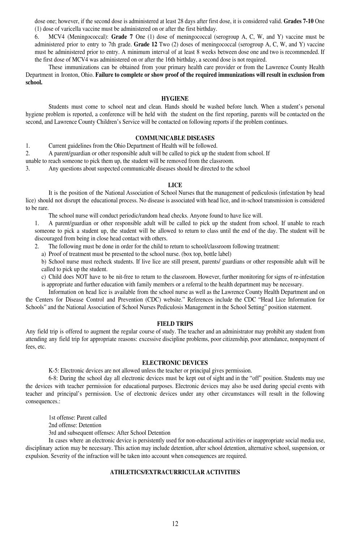dose one; however, if the second dose is administered at least 28 days after first dose, it is considered valid. **Grades 7-10** One (1) dose of varicella vaccine must be administered on or after the first birthday.

6. MCV4 (Meningococcal): **Grade 7** One (1) dose of meningococcal (serogroup A, C, W, and Y) vaccine must be administered prior to entry to 7th grade. **Grade 12** Two (2) doses of meningococcal (serogroup A, C, W, and Y) vaccine must be administered prior to entry. A minimum interval of at least 8 weeks between dose one and two is recommended. If the first dose of MCV4 was administered on or after the 16th birthday, a second dose is not required.

These immunizations can be obtained from your primary health care provider or from the Lawrence County Health Department in Ironton, Ohio. Failure to complete or show proof of the required immunizations will result in exclusion from **school.**

#### **HYGIENE**

Students must come to school neat and clean. Hands should be washed before lunch. When a student's personal hygiene problem is reported, a conference will be held with the student on the first reporting, parents will be contacted on the second, and Lawrence County Children's Service will be contacted on following reports if the problem continues.

#### **COMMUNICABLE DISEASES**

1. Current guidelines from the Ohio Department of Health will be followed.

2. A parent/guardian or other responsible adult will be called to pick up the student from school. If

unable to reach someone to pick them up, the student will be removed from the classroom.

3. Any questions about suspected communicable diseases should be directed to the school

#### **LICE**

It is the position of the National Association of School Nurses that the management of pediculosis (infestation by head lice) should not disrupt the educational process. No disease is associated with head lice, and in-school transmission is considered to be rare.

The school nurse will conduct periodic/random head checks. Anyone found to have lice will.

1. A parent/guardian or other responsible adult will be called to pick up the student from school. If unable to reach someone to pick a student up, the student will be allowed to return to class until the end of the day. The student will be discouraged from being in close head contact with others.

- The following must be done in order for the child to return to school/classroom following treatment:
- a) Proof of treatment must be presented to the school nurse. (box top, bottle label)

b) School nurse must recheck students. If live lice are still present, parents/ guardians or other responsible adult will be called to pick up the student.

- c) Child does NOT have to be nit-free to return to the classroom. However, further monitoring for signs of re-infestation
- is appropriate and further education with family members or a referral to the health department may be necessary.

Information on head lice is available from the school nurse as well as the Lawrence County Health Department and on the Centers for Disease Control and Prevention (CDC) website." References include the CDC "Head Lice Information for Schools" and the National Association of School Nurses Pediculosis Management in the School Setting" position statement.

#### **FIELD TRIPS**

Any field trip is offered to augment the regular course of study. The teacher and an administrator may prohibit any student from attending any field trip for appropriate reasons: excessive discipline problems, poor citizenship, poor attendance, nonpayment of fees, etc.

#### **ELECTRONIC DEVICES**

K-5: Electronic devices are not allowed unless the teacher or principal gives permission.

6-8: During the school day all electronic devices must be kept out of sight and in the "off" position. Students may use the devices with teacher permission for educational purposes. Electronic devices may also be used during special events with teacher and principal's permission. Use of electronic devices under any other circumstances will result in the following consequences.:

1st offense: Parent called

2nd offense: Detention

3rd and subsequent offenses: After School Detention

In cases where an electronic device is persistently used for non-educational activities or inappropriate social media use, disciplinary action may be necessary. This action may include detention, after school detention, alternative school, suspension, or expulsion. Severity of the infraction will be taken into account when consequences are required.

#### **ATHLETICS/EXTRACURRICULAR ACTIVITIES**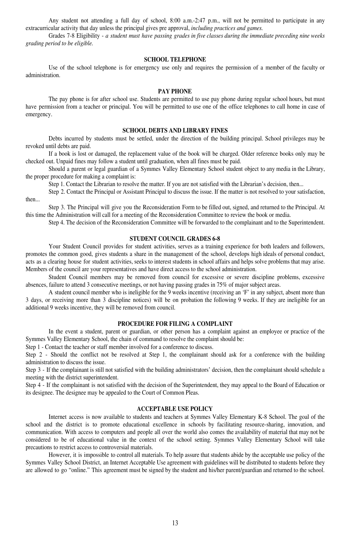Any student not attending a full day of school, 8:00 a.m.-2:47 p.m., will not be permitted to participate in any extracurricular activity that day unless the principal gives pre approval, *including practices and games.*

Grades 7-8 Eligibility - *a student must have passing grades in five classes during the immediate preceding nine weeks grading period to be eligible.*

#### **SCHOOL TELEPHONE**

Use of the school telephone is for emergency use only and requires the permission of a member of the faculty or administration.

#### **PAY PHONE**

The pay phone is for after school use. Students are permitted to use pay phone during regular school hours, but must have permission from a teacher or principal. You will be permitted to use one of the office telephones to call home in case of emergency.

#### **SCHOOL DEBTS AND LIBRARY FINES**

Debts incurred by students must be settled, under the direction of the building principal. School privileges may be revoked until debts are paid.

If a book is lost or damaged, the replacement value of the book will be charged. Older reference books only may be checked out. Unpaid fines may follow a student until graduation, when all fines must be paid.

Should a parent or legal guardian of a Symmes Valley Elementary School student object to any media in the Library, the proper procedure for making a complaint is:

Step 1. Contact the Librarian to resolve the matter. If you are not satisfied with the Librarian's decision, then...

Step 2. Contact the Principal or Assistant Principal to discuss the issue. If the matter is not resolved to your satisfaction, then...

Step 3. The Principal will give you the Reconsideration Form to be filled out, signed, and returned to the Principal. At this time the Administration will call for a meeting of the Reconsideration Committee to review the book or media.

Step 4. The decision of the Reconsideration Committee will be forwarded to the complainant and to the Superintendent.

#### **STUDENT COUNCIL GRADES 6-8**

Your Student Council provides for student activities, serves as a training experience for both leaders and followers, promotes the common good, gives students a share in the management of the school, develops high ideals of personal conduct, acts as a clearing house for student activities, seeks to interest students in school affairs and helps solve problems that may arise. Members of the council are your representatives and have direct access to the school administration.

Student Council members may be removed from council for excessive or severe discipline problems, excessive absences, failure to attend 3 consecutive meetings, or not having passing grades in 75% of major subject areas.

A student council member who is ineligible for the 9 weeks incentive (receiving an 'F' in any subject, absent more than 3 days, or receiving more than 3 discipline notices) will be on probation the following 9 weeks. If they are ineligible for an additional 9 weeks incentive, they will be removed from council.

#### **PROCEDURE FOR FILING A COMPLAINT**

In the event a student, parent or guardian, or other person has a complaint against an employee or practice of the Symmes Valley Elementary School, the chain of command to resolve the complaint should be:

Step 1 - Contact the teacher or staff member involved for a conference to discuss.

Step 2 - Should the conflict not be resolved at Step 1, the complainant should ask for a conference with the building administration to discuss the issue.

Step 3 - If the complainant is still not satisfied with the building administrators' decision, then the complainant should schedule a meeting with the district superintendent.

Step 4 - If the complainant is not satisfied with the decision of the Superintendent, they may appeal to the Board of Education or its designee. The designee may be appealed to the Court of Common Pleas.

#### **ACCEPTABLE USE POLICY**

Internet access is now available to students and teachers at Symmes Valley Elementary K-8 School. The goal of the school and the district is to promote educational excellence in schools by facilitating resource-sharing, innovation, and communication. With access to computers and people all over the world also comes the availability of material that may not be considered to be of educational value in the context of the school setting. Symmes Valley Elementary School will take precautions to restrict access to controversial materials.

However, it is impossible to control all materials. To help assure that students abide by the acceptable use policy of the Symmes Valley School District, an Internet Acceptable Use agreement with guidelines will be distributed to students before they are allowed to go "online." This agreement must be signed by the student and his/her parent/guardian and returned to the school.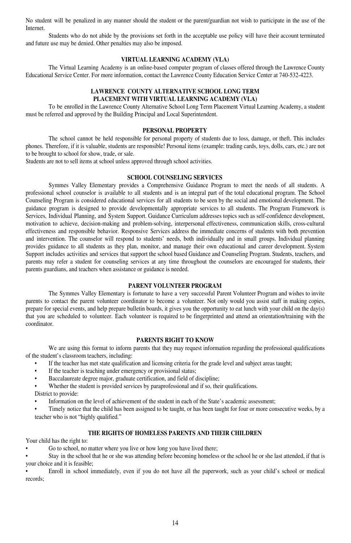No student will be penalized in any manner should the student or the parent/guardian not wish to participate in the use of the Internet.

Students who do not abide by the provisions set forth in the acceptable use policy will have their account terminated and future use may be denied. Other penalties may also be imposed.

#### **VIRTUAL LEARNING ACADEMY (VLA)**

The Virtual Learning Academy is an online-based computer program of classes offered through the Lawrence County Educational Service Center. For more information, contact the Lawrence County Education Service Center at 740-532-4223.

#### **LAWRENCE COUNTY ALTERNATIVE SCHOOL LONG TERM PLACEMENT WITH VIRTUAL LEARNING ACADEMY (VLA)**

To be enrolled in the Lawrence County Alternative School Long Term Placement Virtual Learning Academy, a student must be referred and approved by the Building Principal and Local Superintendent.

#### **PERSONAL PROPERTY**

The school cannot be held responsible for personal property of students due to loss, damage, or theft. This includes phones. Therefore, if it is valuable, students are responsible! Personal items (example: trading cards, toys, dolls, cars, etc.) are not to be brought to school for show, trade, or sale.

Students are not to sell items at school unless approved through school activities.

#### **SCHOOL COUNSELING SERVICES**

Symmes Valley Elementary provides a Comprehensive Guidance Program to meet the needs of all students. A professional school counselor is available to all students and is an integral part of the total educational program. The School Counseling Program is considered educational services for all students to be seen by the social and emotional development. The guidance program is designed to provide developmentally appropriate services to all students. The Program Framework is Services, Individual Planning, and System Support. Guidance Curriculum addresses topics such as self-confidence development, motivation to achieve, decision-making and problem-solving, interpersonal effectiveness, communication skills, cross-cultural effectiveness and responsible behavior. Responsive Services address the immediate concerns of students with both prevention and intervention. The counselor will respond to students' needs, both individually and in small groups. Individual planning provides guidance to all students as they plan, monitor, and manage their own educational and career development. System Support includes activities and services that support the school based Guidance and Counseling Program. Students, teachers, and parents may refer a student for counseling services at any time throughout the counselors are encouraged for students, their parents guardians, and teachers when assistance or guidance is needed.

#### **PARENT VOLUNTEER PROGRAM**

The Symmes Valley Elementary is fortunate to have a very successful Parent Volunteer Program and wishes to invite parents to contact the parent volunteer coordinator to become a volunteer. Not only would you assist staff in making copies, prepare for special events, and help prepare bulletin boards, it gives you the opportunity to eat lunch with your child on the day(s) that you are scheduled to volunteer. Each volunteer is required to be fingerprinted and attend an orientation/training with the coordinator.

#### **PARENTS RIGHT TO KNOW**

We are using this format to inform parents that they may request information regarding the professional qualifications of the student's classroom teachers, including:

- If the teacher has met state qualification and licensing criteria for the grade level and subject areas taught;
- If the teacher is teaching under emergency or provisional status;
- Baccalaureate degree major, graduate certification, and field of discipline;
- Whether the student is provided services by paraprofessional and if so, their qualifications.

District to provide:

• Information on the level of achievement of the student in each of the State's academic assessment;

• Timely notice that the child has been assigned to be taught, or has been taught for four or more consecutive weeks, by a teacher who is not "highly qualified."

#### **THE RIGHTS OF HOMELESS PARENTS AND THEIR CHILDREN**

Your child has the right to:

Go to school, no matter where you live or how long you have lived there;

• Stay in the school that he or she was attending before becoming homeless or the school he or she last attended, if that is your choice and it is feasible;

• Enroll in school immediately, even if you do not have all the paperwork, such as your child's school or medical records;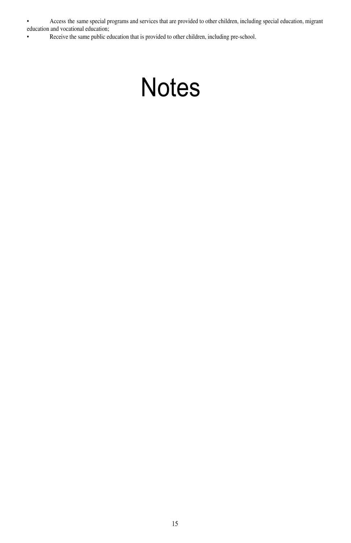• Access the same special programs and services that are provided to other children, including special education, migrant education and vocational education;

• Receive the same public education that is provided to other children, including pre-school.

# **Notes**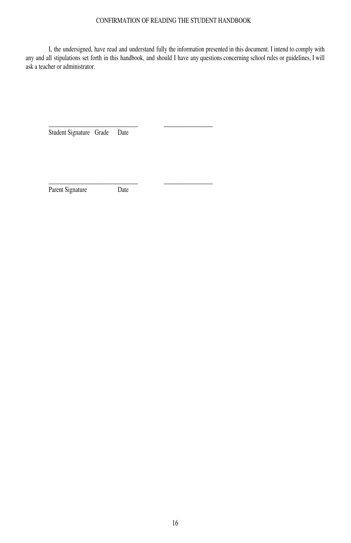#### CONFIRMATION OF READING THE STUDENT HANDBOOK

I, the undersigned, have read and understand fully the information presented in this document. I intend to comply with any and all stipulations set forth in this handbook, and should I have any questions concerning school rules or guidelines, I will ask a teacher or administrator.

Student Signature Grade Date

Parent Signature Date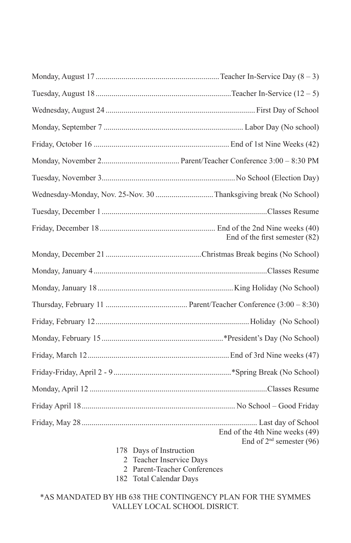|                         | Wednesday-Monday, Nov. 25-Nov. 30 Thanksgiving break (No School) |
|-------------------------|------------------------------------------------------------------|
|                         |                                                                  |
|                         | End of the first semester (82)                                   |
|                         |                                                                  |
|                         |                                                                  |
|                         |                                                                  |
|                         |                                                                  |
|                         |                                                                  |
|                         |                                                                  |
|                         |                                                                  |
|                         |                                                                  |
|                         |                                                                  |
|                         |                                                                  |
|                         | End of the 4th Nine weeks (49)<br>End of $2nd$ semester (96)     |
| 178 Days of Instruction | 2 Topohor Incorrigo Dave                                         |

- 2 Teacher Inservice Days 2 Parent-Teacher Conferences
- 182 Total Calendar Days
- \*AS MANDATED BY HB 638 THE CONTINGENCY PLAN FOR THE SYMMES VALLEY LOCAL SCHOOL DISRICT.